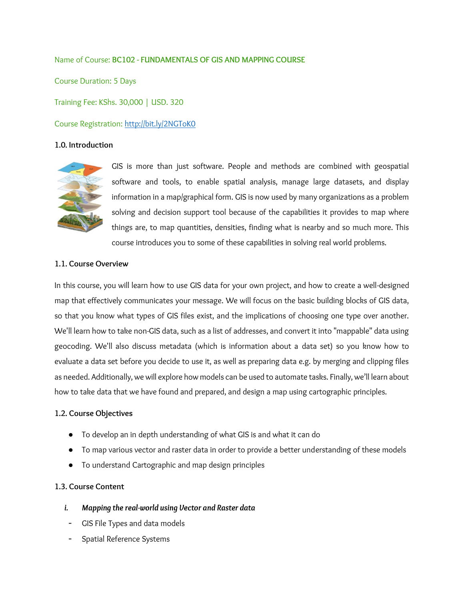#### Name of Course: **BC102 - FUNDAMENTALS OF GIS AND MAPPING COURSE**

Course Duration: 5 Days Training Fee: KShs. 30,000 | USD. 320 Course Registration: <http://bit.ly/2NGToK0>

#### **1.0. Introduction**



GIS is more than just software. People and methods are combined with geospatial software and tools, to enable spatial analysis, manage large datasets, and display information in a map/graphical form. GIS is now used by many organizations as a problem solving and decision support tool because of the capabilities it provides to map where things are, to map quantities, densities, finding what is nearby and so much more. This course introduces you to some of these capabilities in solving real world problems.

#### **1.1. Course Overview**

In this course, you will learn how to use GIS data for your own project, and how to create a well-designed map that effectively communicates your message. We will focus on the basic building blocks of GIS data, so that you know what types of GIS files exist, and the implications of choosing one type over another. We'll learn how to take non-GIS data, such as a list of addresses, and convert it into "mappable" data using geocoding. We'll also discuss metadata (which is information about a data set) so you know how to evaluate a data set before you decide to use it, as well as preparing data e.g. by merging and clipping files as needed. Additionally, we will explore how models can be used to automate tasks. Finally, we'll learn about how to take data that we have found and prepared, and design a map using cartographic principles.

#### **1.2. Course Objectives**

- To develop an in depth understanding of what GIS is and what it can do
- To map various vector and raster data in order to provide a better understanding of these models
- To understand Cartographic and map design principles

#### **1.3. Course Content**

- *i. Mapping the real-world using Vector and Raster data*
- GIS File Types and data models
- Spatial Reference Systems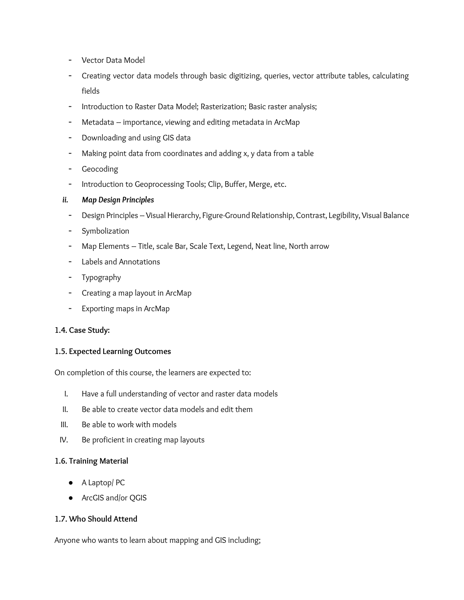- Vector Data Model
- Creating vector data models through basic digitizing, queries, vector attribute tables, calculating fields
- Introduction to Raster Data Model; Rasterization; Basic raster analysis;
- Metadata importance, viewing and editing metadata in ArcMap
- Downloading and using GIS data
- Making point data from coordinates and adding x, y data from a table
- Geocoding
- Introduction to Geoprocessing Tools; Clip, Buffer, Merge, etc.

# *ii. Map Design Principles*

- Design Principles Visual Hierarchy, Figure-Ground Relationship, Contrast, Legibility, Visual Balance
- Symbolization
- Map Elements Title, scale Bar, Scale Text, Legend, Neat line, North arrow
- Labels and Annotations
- Typography
- Creating a map layout in ArcMap
- Exporting maps in ArcMap

# **1.4. Case Study:**

# **1.5. Expected Learning Outcomes**

On completion of this course, the learners are expected to:

- I. Have a full understanding of vector and raster data models
- II. Be able to create vector data models and edit them
- III. Be able to work with models
- IV. Be proficient in creating map layouts

# **1.6. Training Material**

- A Laptop/ PC
- ArcGIS and/or QGIS

# **1.7. Who Should Attend**

Anyone who wants to learn about mapping and GIS including;